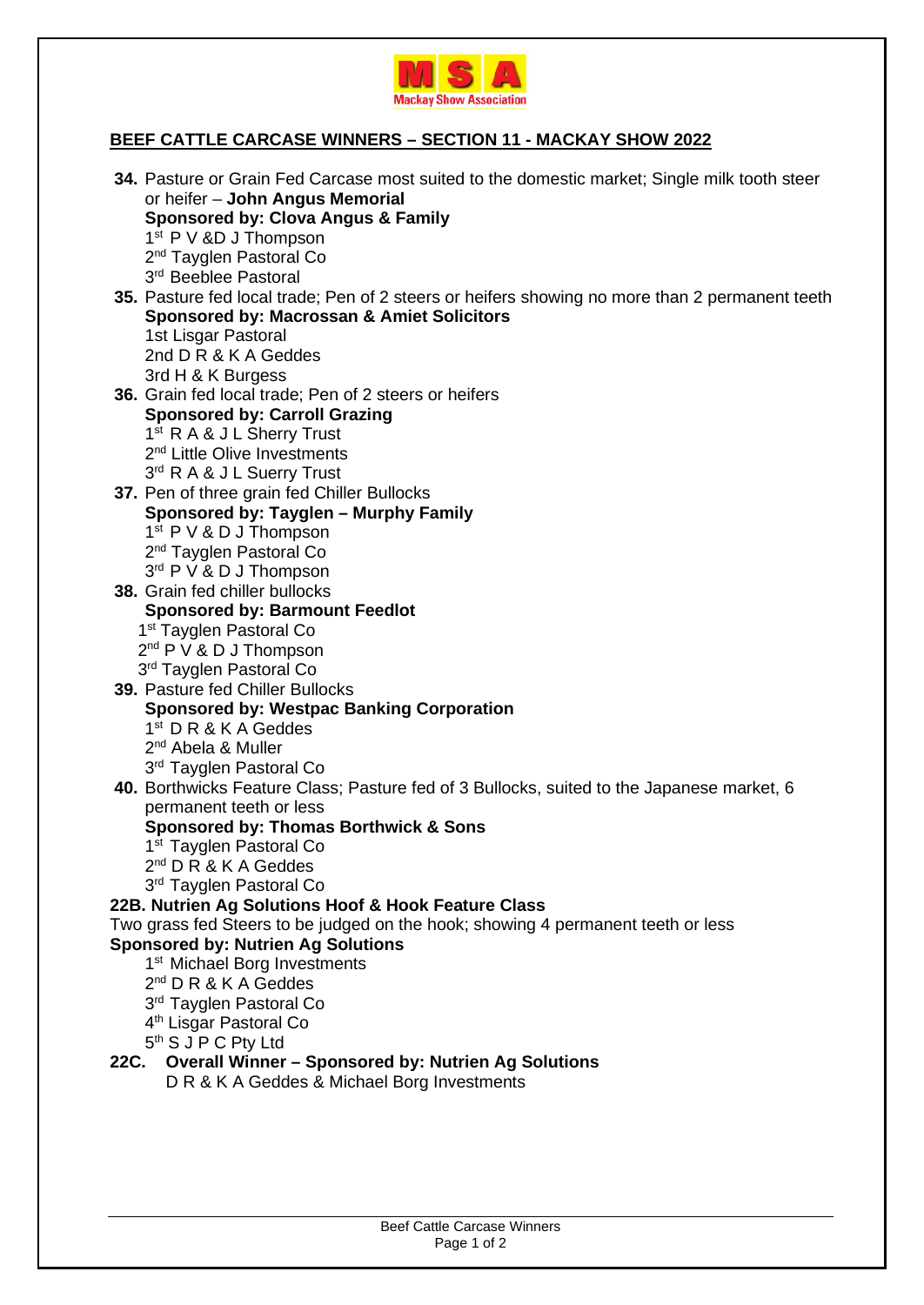

## **BEEF CATTLE CARCASE WINNERS – SECTION 11 - MACKAY SHOW 2022**

| 34. Pasture or Grain Fed Carcase most suited to the domestic market; Single milk tooth steer   |
|------------------------------------------------------------------------------------------------|
| or heifer - John Angus Memorial                                                                |
| Sponsored by: Clova Angus & Family                                                             |
| 1 <sup>st</sup> P V &D J Thompson                                                              |
| 2 <sup>nd</sup> Tayglen Pastoral Co                                                            |
| 3rd Beeblee Pastoral                                                                           |
| 35. Pasture fed local trade; Pen of 2 steers or heifers showing no more than 2 permanent teeth |
| <b>Sponsored by: Macrossan &amp; Amiet Solicitors</b>                                          |
| 1st Lisgar Pastoral                                                                            |
| 2nd D R & K A Geddes                                                                           |
| 3rd H & K Burgess                                                                              |
| 36. Grain fed local trade; Pen of 2 steers or heifers                                          |
| <b>Sponsored by: Carroll Grazing</b>                                                           |
| 1 <sup>st</sup> R A & J L Sherry Trust                                                         |
| 2 <sup>nd</sup> Little Olive Investments                                                       |
| 3 <sup>rd</sup> R A & J L Suerry Trust                                                         |
| 37. Pen of three grain fed Chiller Bullocks                                                    |
| Sponsored by: Tayglen - Murphy Family                                                          |
| $1st$ P V & D J Thompson                                                                       |
| 2 <sup>nd</sup> Tayglen Pastoral Co                                                            |
| 3rd P V & D J Thompson                                                                         |
| 38. Grain fed chiller bullocks                                                                 |
| <b>Sponsored by: Barmount Feedlot</b>                                                          |
| 1 <sup>st</sup> Tayglen Pastoral Co                                                            |
| $2^{nd}$ P V & D J Thompson                                                                    |
| 3rd Tayglen Pastoral Co                                                                        |
| 39. Pasture fed Chiller Bullocks                                                               |
| <b>Sponsored by: Westpac Banking Corporation</b>                                               |
| $1st$ D R & K A Geddes                                                                         |
| 2 <sup>nd</sup> Abela & Muller                                                                 |
| 3rd Tayglen Pastoral Co                                                                        |
| 40. Borthwicks Feature Class; Pasture fed of 3 Bullocks, suited to the Japanese market, 6      |
| permanent teeth or less                                                                        |
| <b>Sponsored by: Thomas Borthwick &amp; Sons</b>                                               |
| 1 <sup>st</sup> Tayglen Pastoral Co                                                            |
| 2 <sup>nd</sup> D R & K A Geddes                                                               |
| 3 <sup>rd</sup> Tayglen Pastoral Co                                                            |
| 22B. Nutrien Ag Solutions Hoof & Hook Feature Class                                            |
| Two grass fed Steers to be judged on the hook; showing 4 permanent teeth or less               |
| <b>Sponsored by: Nutrien Ag Solutions</b>                                                      |
| 1 <sup>st</sup> Michael Borg Investments                                                       |
| $2^{nd}$ D R & K A Geddes                                                                      |
| 3rd Tayglen Pastoral Co                                                                        |
| 4 <sup>th</sup> Lisgar Pastoral Co<br>5 <sup>th</sup> S J P C Pty Ltd                          |
|                                                                                                |
| 22C. Overall Winner - Sponsored by: Nutrien Ag Solutions                                       |
| D R & K A Geddes & Michael Borg Investments                                                    |
|                                                                                                |
|                                                                                                |
|                                                                                                |

Beef Cattle Carcase Winners Page 1 of 2